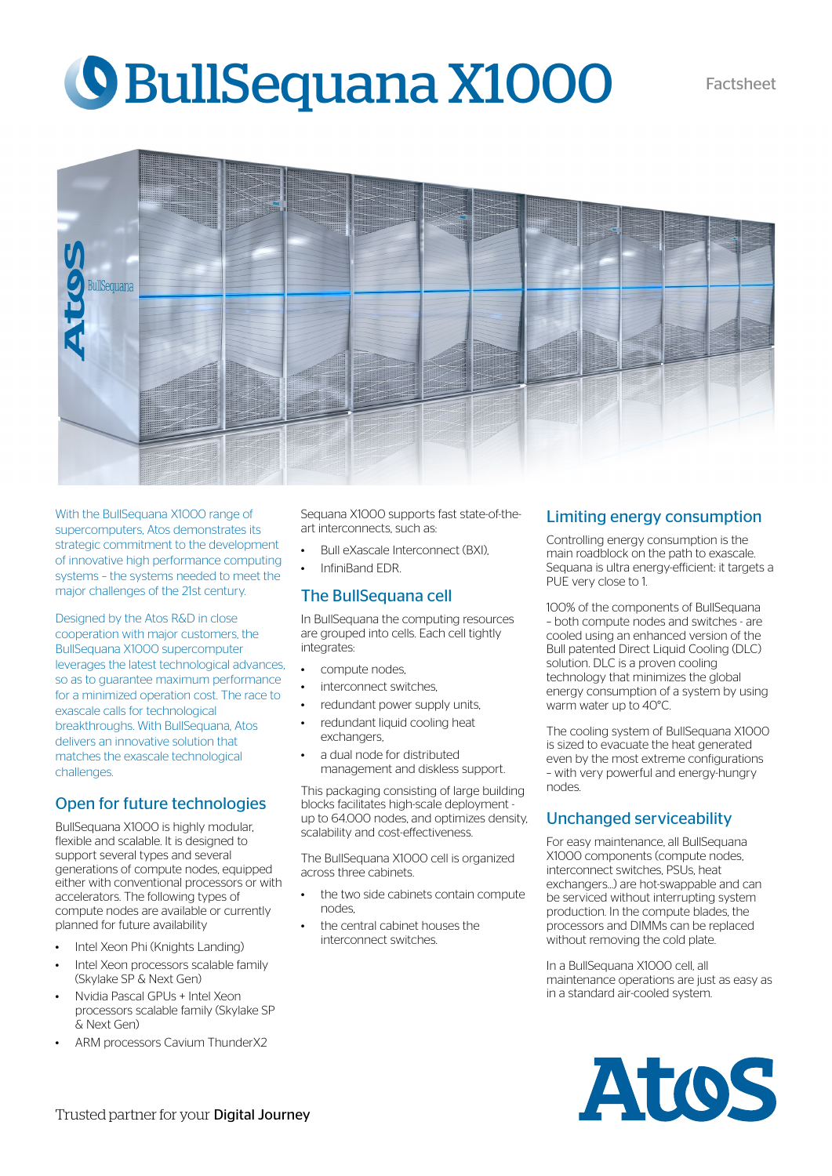# **O BullSequana X1000** Factsheet



With the BullSequana X1000 range of supercomputers, Atos demonstrates its strategic commitment to the development of innovative high performance computing systems – the systems needed to meet the major challenges of the 21st century.

Designed by the Atos R&D in close cooperation with major customers, the BullSequana X1000 supercomputer leverages the latest technological advances, so as to guarantee maximum performance for a minimized operation cost. The race to exascale calls for technological breakthroughs. With BullSequana, Atos delivers an innovative solution that matches the exascale technological challenges.

### Open for future technologies

BullSequana X1000 is highly modular, flexible and scalable. It is designed to support several types and several generations of compute nodes, equipped either with conventional processors or with accelerators. The following types of compute nodes are available or currently planned for future availability

- Intel Xeon Phi (Knights Landing)
- Intel Xeon processors scalable family (Skylake SP & Next Gen)
- Nvidia Pascal GPUs + Intel Xeon processors scalable family (Skylake SP & Next Gen)
- ARM processors Cavium ThunderX2

Sequana X1000 supports fast state-of-theart interconnects, such as:

- Bull eXascale Interconnect (BXI).
- InfiniBand EDR.

#### The BullSequana cell

In BullSequana the computing resources are grouped into cells. Each cell tightly integrates:

- compute nodes,
- interconnect switches
- redundant power supply units.
- redundant liquid cooling heat exchangers,
- a dual node for distributed management and diskless support.

This packaging consisting of large building blocks facilitates high-scale deployment up to 64.000 nodes, and optimizes density, scalability and cost-effectiveness.

The BullSequana X1000 cell is organized across three cabinets.

- the two side cabinets contain compute nodes,
- the central cabinet houses the interconnect switches.

#### Limiting energy consumption

Controlling energy consumption is the main roadblock on the path to exascale. Sequana is ultra energy-efficient: it targets a PUE very close to 1.

100% of the components of BullSequana – both compute nodes and switches - are cooled using an enhanced version of the Bull patented Direct Liquid Cooling (DLC) solution. DLC is a proven cooling technology that minimizes the global energy consumption of a system by using warm water up to 40°C.

The cooling system of BullSequana X1000 is sized to evacuate the heat generated even by the most extreme configurations – with very powerful and energy-hungry nodes.

#### Unchanged serviceability

For easy maintenance, all BullSequana X1000 components (compute nodes, interconnect switches, PSUs, heat exchangers…) are hot-swappable and can be serviced without interrupting system production. In the compute blades, the processors and DIMMs can be replaced without removing the cold plate.

In a BullSequana X1000 cell, all maintenance operations are just as easy as in a standard air-cooled system.

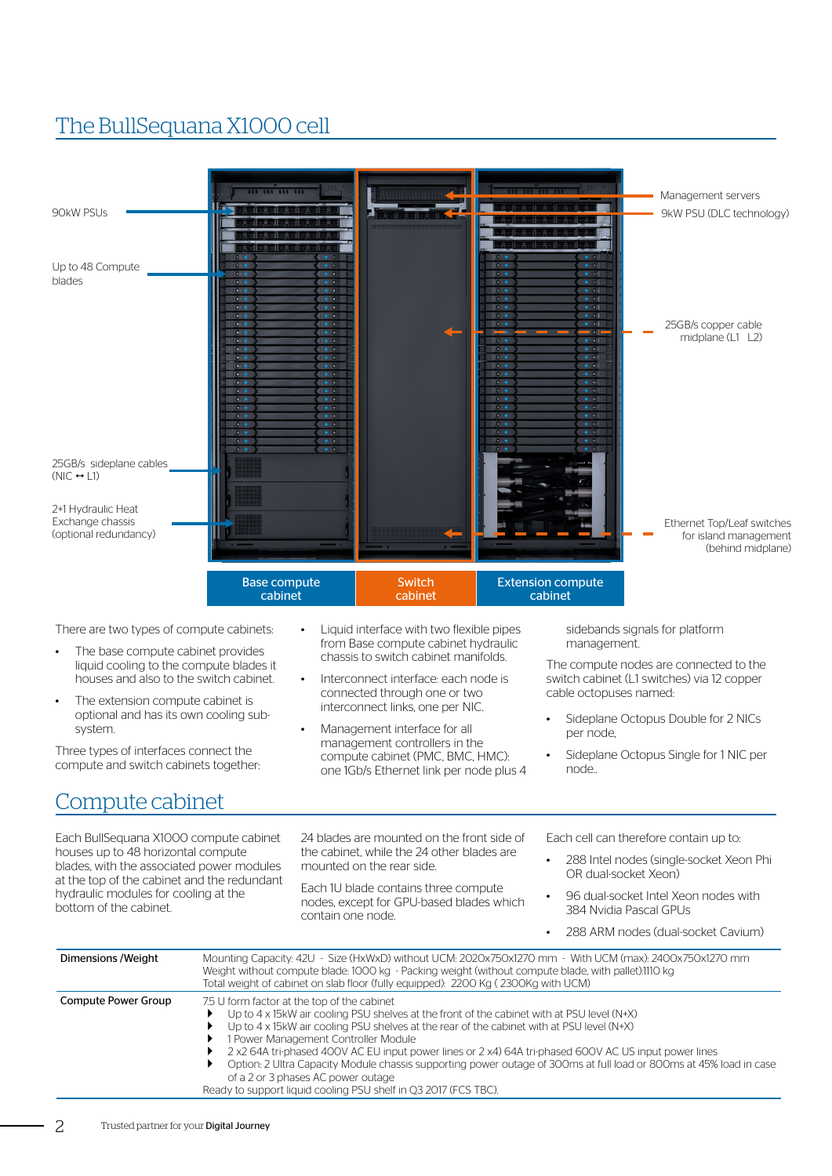## The BullSequana X1000 cell

| 44 444 444 44<br>90kW PSUs                                                                                                                                                                                                                                                                                                                                                                        |                                                                                                                                                                                                                                                                                                                                                                                                                                       | Management servers<br>9kW PSU (DLC technology)                                                                                                                                                                                                                                                                                    |  |  |  |
|---------------------------------------------------------------------------------------------------------------------------------------------------------------------------------------------------------------------------------------------------------------------------------------------------------------------------------------------------------------------------------------------------|---------------------------------------------------------------------------------------------------------------------------------------------------------------------------------------------------------------------------------------------------------------------------------------------------------------------------------------------------------------------------------------------------------------------------------------|-----------------------------------------------------------------------------------------------------------------------------------------------------------------------------------------------------------------------------------------------------------------------------------------------------------------------------------|--|--|--|
| Up to 48 Compute<br>0.4<br>$\bullet$<br>blades<br>$\bullet$<br>$\bullet$<br>$\bullet$<br>$\bullet$<br>$\bullet$<br>$\bullet$<br>$\bullet$<br>$\bullet$<br>$\bullet$<br>$\bullet$<br>$\bullet$<br>$\bullet$<br>$\bullet$<br>$\bullet$ $\bullet$<br>$\bullet$<br>25GB/s sideplane cables<br>$(NIC \leftrightarrow L1)$<br>2+1 Hydraulic Heat<br>Exchange chassis<br>(optional redundancy)           | $\sqrt{2}$<br>$\overline{10}$<br>$\mathbf{R}$<br>$\sim$<br>$\sim$<br>$\sim$                                                                                                                                                                                                                                                                                                                                                           | 25GB/s copper cable<br>$\bullet$ $\bullet$<br>midplane (L1 L2)<br>Ethernet Top/Leaf switches<br>for island management                                                                                                                                                                                                             |  |  |  |
| <b>Base compute</b><br>cabinet<br>There are two types of compute cabinets:<br>The base compute cabinet provides<br>liquid cooling to the compute blades it<br>houses and also to the switch cabinet.<br>The extension compute cabinet is<br>optional and has its own cooling sub-<br>system.<br>Three types of interfaces connect the<br>compute and switch cabinets together:<br>Compute cabinet | Switch<br>cabinet<br>Liquid interface with two flexible pipes<br>from Base compute cabinet hydraulic<br>chassis to switch cabinet manifolds.<br>Interconnect interface: each node is<br>connected through one or two<br>interconnect links, one per NIC.<br>Management interface for all<br>management controllers in the<br>compute cabinet (PMC, BMC, HMC):<br>one 1Gb/s Ethernet link per node plus 4                              | (behind midplane)<br><b>Extension compute</b><br>cabinet<br>sidebands signals for platform<br>management.<br>The compute nodes are connected to the<br>switch cabinet (L1 switches) via 12 copper<br>cable octopuses named:<br>Sideplane Octopus Double for 2 NICs<br>per node,<br>Sideplane Octopus Single for 1 NIC per<br>node |  |  |  |
| Each BullSequana X1000 compute cabinet<br>houses up to 48 horizontal compute<br>blades, with the associated power modules<br>at the top of the cabinet and the redundant<br>hydraulic modules for cooling at the<br>bottom of the cabinet.                                                                                                                                                        | 24 blades are mounted on the front side of<br>the cabinet, while the 24 other blades are<br>mounted on the rear side.<br>Each 1U blade contains three compute<br>nodes, except for GPU-based blades which<br>contain one node.                                                                                                                                                                                                        | Each cell can therefore contain up to:<br>288 Intel nodes (single-socket Xeon Phi<br>OR dual-socket Xeon)<br>96 dual-socket Intel Xeon nodes with<br>384 Nvidia Pascal GPUs<br>288 ARM nodes (dual-socket Cavium)                                                                                                                 |  |  |  |
| Dimensions / Weight                                                                                                                                                                                                                                                                                                                                                                               | Mounting Capacity: 42U - Size (HxWxD) without UCM: 2020x750x1270 mm - With UCM (max): 2400x750x1270 mm<br>Weight without compute blade: 1000 kg - Packing weight (without compute blade, with pallet):1110 kg<br>Total weight of cabinet on slab floor (fully equipped): 2200 Kg (2300Kg with UCM)                                                                                                                                    |                                                                                                                                                                                                                                                                                                                                   |  |  |  |
| <b>Compute Power Group</b>                                                                                                                                                                                                                                                                                                                                                                        | 7.5 U form factor at the top of the cabinet<br>Up to $4 \times 15$ kW air cooling PSU shelves at the front of the cabinet with at PSU level (N+X)<br>Up to $4 \times 15$ kW air cooling PSU shelves at the rear of the cabinet with at PSU level (N+X)<br>1 Power Management Controller Module<br>2 x2 64A tri-phased 400V AC EU input power lines or 2 x4) 64A tri-phased 600V AC US input power lines<br>acity Modulo chaccic cuppo |                                                                                                                                                                                                                                                                                                                                   |  |  |  |

of a 2 or 3 phases AC power outage Ready to support liquid cooling PSU shelf in Q3 2017 (FCS TBC).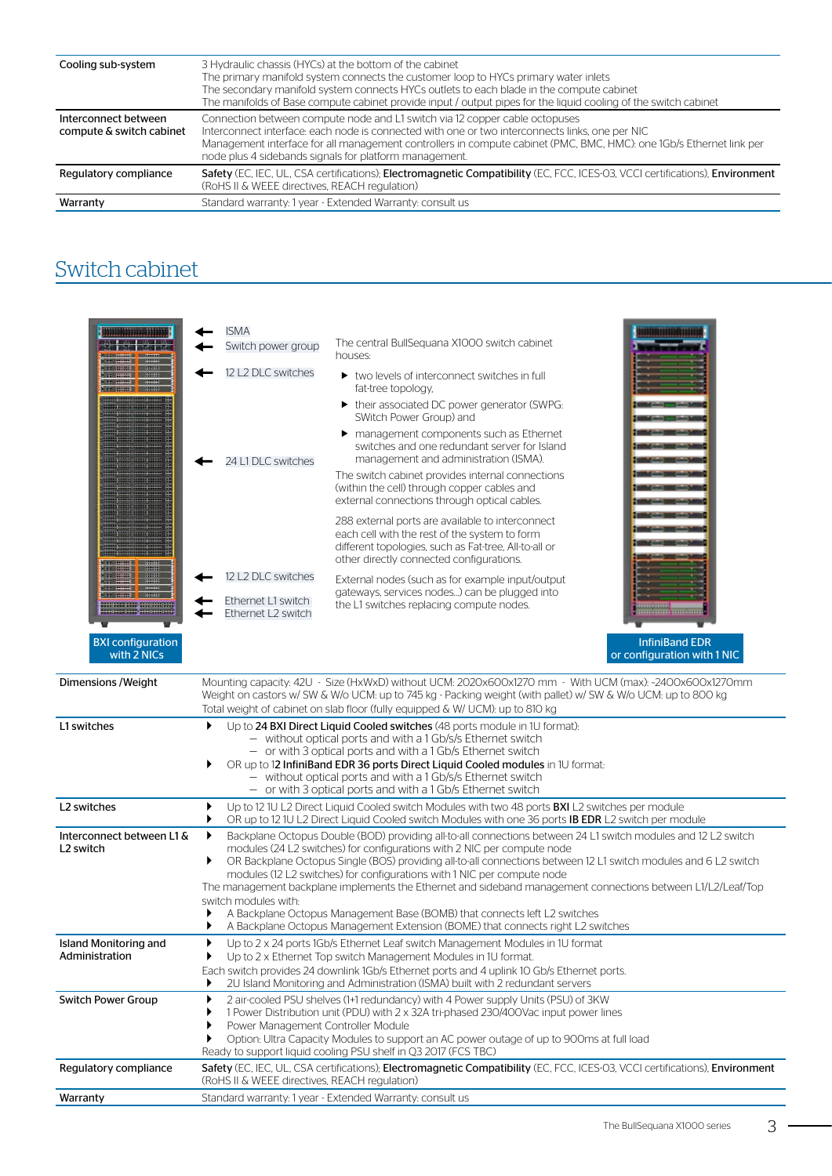| Cooling sub-system                               | 3 Hydraulic chassis (HYCs) at the bottom of the cabinet<br>The primary manifold system connects the customer loop to HYCs primary water inlets<br>The secondary manifold system connects HYCs outlets to each blade in the compute cabinet<br>The manifolds of Base compute cabinet provide input / output pipes for the liquid cooling of the switch cabinet   |
|--------------------------------------------------|-----------------------------------------------------------------------------------------------------------------------------------------------------------------------------------------------------------------------------------------------------------------------------------------------------------------------------------------------------------------|
| Interconnect between<br>compute & switch cabinet | Connection between compute node and L1 switch via 12 copper cable octopuses<br>Interconnect interface: each node is connected with one or two interconnects links, one per NIC<br>Management interface for all management controllers in compute cabinet (PMC, BMC, HMC): one 1Gb/s Ethernet link per<br>node plus 4 sidebands signals for platform management. |
| Regulatory compliance                            | Safety (EC, IEC, UL, CSA certifications); Electromagnetic Compatibility (EC, FCC, ICES-03, VCCI certifications), Environment<br>(RoHS II & WEEE directives, REACH regulation)                                                                                                                                                                                   |
| Warranty                                         | Standard warranty: 1 year - Extended Warranty: consult us                                                                                                                                                                                                                                                                                                       |

## Switch cabinet